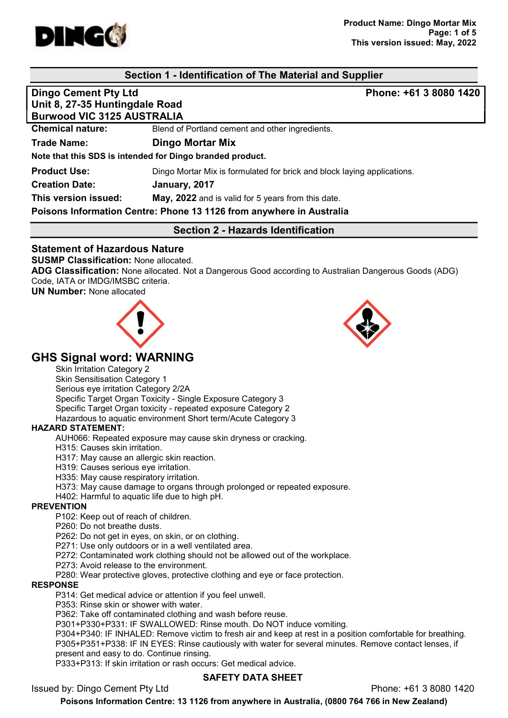

# Section 1 - Identification of The Material and Supplier

# Dingo Cement Pty Ltd **Phone: +61 3 8080 1420** Unit 8, 27-35 Huntingdale Road Burwood VIC 3125 AUSTRALIA Chemical nature: Blend of Portland cement and other ingredients. Trade Name: Dingo Mortar Mix Note that this SDS is intended for Dingo branded product. **Product Use:** Dingo Mortar Mix is formulated for brick and block laying applications. Creation Date: January, 2017 This version issued: May, 2022 and is valid for 5 years from this date. Poisons Information Centre: Phone 13 1126 from anywhere in Australia Section 2 - Hazards Identification

## Statement of Hazardous Nature

SUSMP Classification: None allocated.

ADG Classification: None allocated. Not a Dangerous Good according to Australian Dangerous Goods (ADG) Code, IATA or IMDG/IMSBC criteria.

UN Number: None allocated





# GHS Signal word: WARNING

Skin Irritation Category 2

Skin Sensitisation Category 1 Serious eye irritation Category 2/2A Specific Target Organ Toxicity - Single Exposure Category 3 Specific Target Organ toxicity - repeated exposure Category 2 Hazardous to aquatic environment Short term/Acute Category 3

#### HAZARD STATEMENT:

AUH066: Repeated exposure may cause skin dryness or cracking.

H315: Causes skin irritation.

H317: May cause an allergic skin reaction.

H319: Causes serious eye irritation.

H335: May cause respiratory irritation.

H373: May cause damage to organs through prolonged or repeated exposure.

H402: Harmful to aquatic life due to high pH.

#### **PREVENTION**

P102: Keep out of reach of children.

P260: Do not breathe dusts.

P262: Do not get in eyes, on skin, or on clothing.

P271: Use only outdoors or in a well ventilated area.

P272: Contaminated work clothing should not be allowed out of the workplace.

P273: Avoid release to the environment.

P280: Wear protective gloves, protective clothing and eye or face protection.

#### RESPONSE

P314: Get medical advice or attention if you feel unwell.

P353: Rinse skin or shower with water.

P362: Take off contaminated clothing and wash before reuse.

P301+P330+P331: IF SWALLOWED: Rinse mouth. Do NOT induce vomiting.

P304+P340: IF INHALED: Remove victim to fresh air and keep at rest in a position comfortable for breathing. P305+P351+P338: IF IN EYES: Rinse cautiously with water for several minutes. Remove contact lenses, if present and easy to do. Continue rinsing.

P333+P313: If skin irritation or rash occurs: Get medical advice.

## SAFETY DATA SHEET

Issued by: Dingo Cement Pty Ltd Phone: +61 3 8080 1420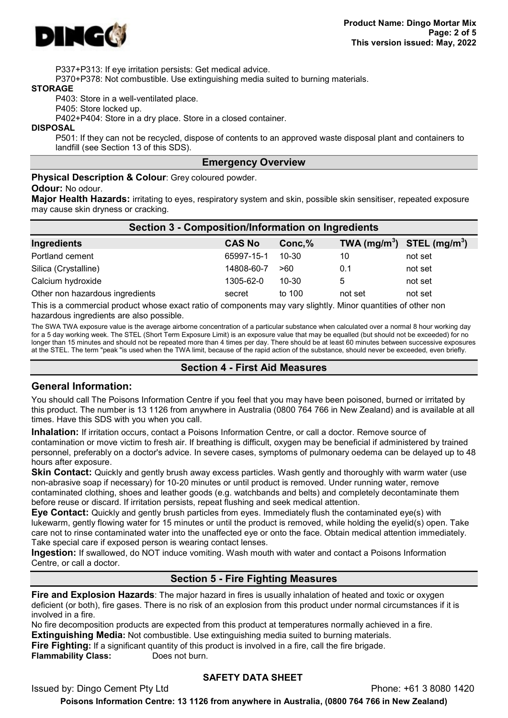

P337+P313: If eye irritation persists: Get medical advice.

P370+P378: Not combustible. Use extinguishing media suited to burning materials.

#### STORAGE

P403: Store in a well-ventilated place.

P405: Store locked up.

P402+P404: Store in a dry place. Store in a closed container.

#### DISPOSAL

P501: If they can not be recycled, dispose of contents to an approved waste disposal plant and containers to landfill (see Section 13 of this SDS).

#### Emergency Overview

Physical Description & Colour: Grey coloured powder.

#### Odour: No odour.

Major Health Hazards: irritating to eyes, respiratory system and skin, possible skin sensitiser, repeated exposure may cause skin dryness or cracking.

| <b>Section 3 - Composition/Information on Ingredients</b> |               |         |                                |         |  |
|-----------------------------------------------------------|---------------|---------|--------------------------------|---------|--|
| Ingredients                                               | <b>CAS No</b> | Conc, % | TWA $(mg/m^3)$ STEL $(mg/m^3)$ |         |  |
| Portland cement                                           | 65997-15-1    | 10-30   | 10                             | not set |  |
| Silica (Crystalline)                                      | 14808-60-7    | >60     | 0.1                            | not set |  |
| Calcium hydroxide                                         | 1305-62-0     | 10-30   | 5                              | not set |  |
| Other non hazardous ingredients                           | secret        | to 100  | not set                        | not set |  |

This is a commercial product whose exact ratio of components may vary slightly. Minor quantities of other non hazardous ingredients are also possible.

The SWA TWA exposure value is the average airborne concentration of a particular substance when calculated over a normal 8 hour working day for a 5 day working week. The STEL (Short Term Exposure Limit) is an exposure value that may be equalled (but should not be exceeded) for no longer than 15 minutes and should not be repeated more than 4 times per day. There should be at least 60 minutes between successive exposures at the STEL. The term "peak "is used when the TWA limit, because of the rapid action of the substance, should never be exceeded, even briefly.

#### Section 4 - First Aid Measures

#### General Information:

You should call The Poisons Information Centre if you feel that you may have been poisoned, burned or irritated by this product. The number is 13 1126 from anywhere in Australia (0800 764 766 in New Zealand) and is available at all times. Have this SDS with you when you call.

Inhalation: If irritation occurs, contact a Poisons Information Centre, or call a doctor. Remove source of contamination or move victim to fresh air. If breathing is difficult, oxygen may be beneficial if administered by trained personnel, preferably on a doctor's advice. In severe cases, symptoms of pulmonary oedema can be delayed up to 48 hours after exposure.

**Skin Contact:** Quickly and gently brush away excess particles. Wash gently and thoroughly with warm water (use non-abrasive soap if necessary) for 10-20 minutes or until product is removed. Under running water, remove contaminated clothing, shoes and leather goods (e.g. watchbands and belts) and completely decontaminate them before reuse or discard. If irritation persists, repeat flushing and seek medical attention.

Eye Contact: Quickly and gently brush particles from eyes. Immediately flush the contaminated eye(s) with lukewarm, gently flowing water for 15 minutes or until the product is removed, while holding the eyelid(s) open. Take care not to rinse contaminated water into the unaffected eye or onto the face. Obtain medical attention immediately. Take special care if exposed person is wearing contact lenses.

Ingestion: If swallowed, do NOT induce vomiting. Wash mouth with water and contact a Poisons Information Centre, or call a doctor.

## Section 5 - Fire Fighting Measures

Fire and Explosion Hazards: The major hazard in fires is usually inhalation of heated and toxic or oxygen deficient (or both), fire gases. There is no risk of an explosion from this product under normal circumstances if it is involved in a fire.

No fire decomposition products are expected from this product at temperatures normally achieved in a fire. **Extinguishing Media:** Not combustible. Use extinguishing media suited to burning materials. **Fire Fighting:** If a significant quantity of this product is involved in a fire, call the fire brigade.

Flammability Class: Does not burn.

## SAFETY DATA SHEET

Issued by: Dingo Cement Pty Ltd Phone: +61 3 8080 1420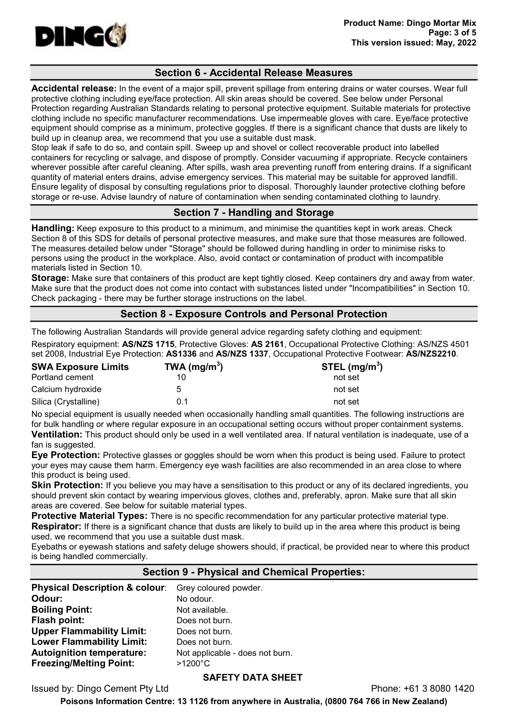

## Section 6 - Accidental Release Measures

Accidental release: In the event of a major spill, prevent spillage from entering drains or water courses. Wear full protective clothing including eye/face protection. All skin areas should be covered. See below under Personal Protection regarding Australian Standards relating to personal protective equipment. Suitable materials for protective clothing include no specific manufacturer recommendations. Use impermeable gloves with care. Eye/face protective equipment should comprise as a minimum, protective goggles. If there is a significant chance that dusts are likely to build up in cleanup area, we recommend that you use a suitable dust mask.

Stop leak if safe to do so, and contain spill. Sweep up and shovel or collect recoverable product into labelled containers for recycling or salvage, and dispose of promptly. Consider vacuuming if appropriate. Recycle containers wherever possible after careful cleaning. After spills, wash area preventing runoff from entering drains. If a significant quantity of material enters drains, advise emergency services. This material may be suitable for approved landfill. Ensure legality of disposal by consulting regulations prior to disposal. Thoroughly launder protective clothing before storage or re-use. Advise laundry of nature of contamination when sending contaminated clothing to laundry.

## Section 7 - Handling and Storage

Handling: Keep exposure to this product to a minimum, and minimise the quantities kept in work areas. Check Section 8 of this SDS for details of personal protective measures, and make sure that those measures are followed. The measures detailed below under "Storage" should be followed during handling in order to minimise risks to persons using the product in the workplace. Also, avoid contact or contamination of product with incompatible materials listed in Section 10.

Storage: Make sure that containers of this product are kept tightly closed. Keep containers dry and away from water. Make sure that the product does not come into contact with substances listed under "Incompatibilities" in Section 10. Check packaging - there may be further storage instructions on the label.

## Section 8 - Exposure Controls and Personal Protection

The following Australian Standards will provide general advice regarding safety clothing and equipment:

Respiratory equipment: AS/NZS 1715, Protective Gloves: AS 2161, Occupational Protective Clothing: AS/NZS 4501 set 2008, Industrial Eye Protection: AS1336 and AS/NZS 1337, Occupational Protective Footwear: AS/NZS2210.

| <b>SWA Exposure Limits</b> | TWA ( $mg/m3$ ) | STEL $(mg/m3)$ |
|----------------------------|-----------------|----------------|
| Portland cement            |                 | not set        |
| Calcium hydroxide          | 5               | not set        |
| Silica (Crystalline)       | 0.1             | not set        |

No special equipment is usually needed when occasionally handling small quantities. The following instructions are for bulk handling or where regular exposure in an occupational setting occurs without proper containment systems. Ventilation: This product should only be used in a well ventilated area. If natural ventilation is inadequate, use of a fan is suggested.

# Eye Protection: Protective glasses or goggles should be worn when this product is being used. Failure to protect your eyes may cause them harm. Emergency eye wash facilities are also recommended in an area close to where

this product is being used. **Skin Protection:** If you believe you may have a sensitisation to this product or any of its declared ingredients, you should prevent skin contact by wearing impervious gloves, clothes and, preferably, apron. Make sure that all skin areas are covered. See below for suitable material types.

**Protective Material Types:** There is no specific recommendation for any particular protective material type.

Respirator: If there is a significant chance that dusts are likely to build up in the area where this product is being used, we recommend that you use a suitable dust mask.

Eyebaths or eyewash stations and safety deluge showers should, if practical, be provided near to where this product is being handled commercially.

## Section 9 - Physical and Chemical Properties:

| Physical Description & colour: Grey coloured powder. |                                 |
|------------------------------------------------------|---------------------------------|
| Odour:                                               | No odour.                       |
| <b>Boiling Point:</b>                                | Not available.                  |
| Flash point:                                         | Does not burn.                  |
| <b>Upper Flammability Limit:</b>                     | Does not burn.                  |
| <b>Lower Flammability Limit:</b>                     | Does not burn.                  |
| <b>Autoignition temperature:</b>                     | Not applicable - does not burn. |
| <b>Freezing/Melting Point:</b>                       | >1200°C                         |

## SAFETY DATA SHEET

Issued by: Dingo Cement Pty Ltd Phone: +61 3 8080 1420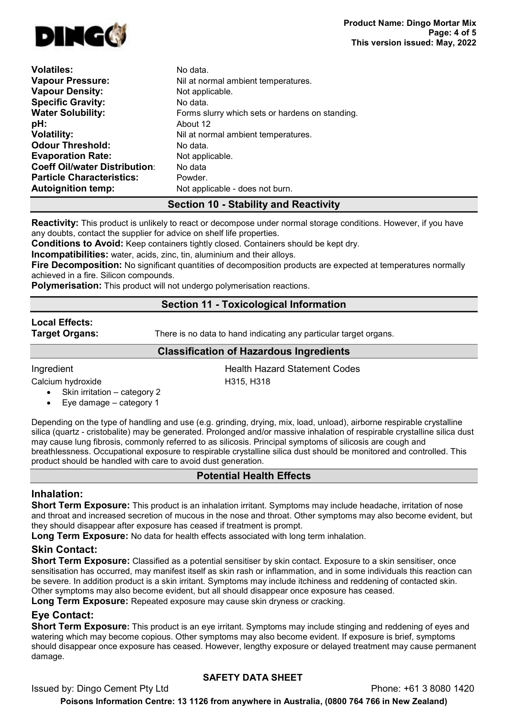

| <b>Volatiles:</b>                    | No data.                                        |
|--------------------------------------|-------------------------------------------------|
| <b>Vapour Pressure:</b>              | Nil at normal ambient temperatures.             |
| <b>Vapour Density:</b>               | Not applicable.                                 |
| <b>Specific Gravity:</b>             | No data.                                        |
| <b>Water Solubility:</b>             | Forms slurry which sets or hardens on standing. |
| pH:                                  | About 12                                        |
| <b>Volatility:</b>                   | Nil at normal ambient temperatures.             |
| <b>Odour Threshold:</b>              | No data.                                        |
| <b>Evaporation Rate:</b>             | Not applicable.                                 |
| <b>Coeff Oil/water Distribution:</b> | No data                                         |
| <b>Particle Characteristics:</b>     | Powder.                                         |
| <b>Autoignition temp:</b>            | Not applicable - does not burn.                 |

# Section 10 - Stability and Reactivity

Reactivity: This product is unlikely to react or decompose under normal storage conditions. However, if you have any doubts, contact the supplier for advice on shelf life properties.

Conditions to Avoid: Keep containers tightly closed. Containers should be kept dry.

Incompatibilities: water, acids, zinc, tin, aluminium and their alloys.

Fire Decomposition: No significant quantities of decomposition products are expected at temperatures normally achieved in a fire. Silicon compounds.

**Polymerisation:** This product will not undergo polymerisation reactions.

# Section 11 - Toxicological Information

# Local Effects:

**Target Organs:** There is no data to hand indicating any particular target organs.

## Classification of Hazardous Ingredients

**Ingredient Codes Health Hazard Statement Codes** 

Calcium hydroxide H315, H318

- Skin irritation category 2
- Eye damage category 1

Depending on the type of handling and use (e.g. grinding, drying, mix, load, unload), airborne respirable crystalline silica (quartz - cristobalite) may be generated. Prolonged and/or massive inhalation of respirable crystalline silica dust may cause lung fibrosis, commonly referred to as silicosis. Principal symptoms of silicosis are cough and breathlessness. Occupational exposure to respirable crystalline silica dust should be monitored and controlled. This product should be handled with care to avoid dust generation.

# Potential Health Effects

# Inhalation:

Short Term Exposure: This product is an inhalation irritant. Symptoms may include headache, irritation of nose and throat and increased secretion of mucous in the nose and throat. Other symptoms may also become evident, but they should disappear after exposure has ceased if treatment is prompt.

Long Term Exposure: No data for health effects associated with long term inhalation.

# Skin Contact:

Short Term Exposure: Classified as a potential sensitiser by skin contact. Exposure to a skin sensitiser, once sensitisation has occurred, may manifest itself as skin rash or inflammation, and in some individuals this reaction can be severe. In addition product is a skin irritant. Symptoms may include itchiness and reddening of contacted skin. Other symptoms may also become evident, but all should disappear once exposure has ceased.

Long Term Exposure: Repeated exposure may cause skin dryness or cracking.

# Eye Contact:

Short Term Exposure: This product is an eye irritant. Symptoms may include stinging and reddening of eyes and watering which may become copious. Other symptoms may also become evident. If exposure is brief, symptoms should disappear once exposure has ceased. However, lengthy exposure or delayed treatment may cause permanent damage.

# SAFETY DATA SHEET

Issued by: Dingo Cement Pty Ltd Phone: +61 3 8080 1420